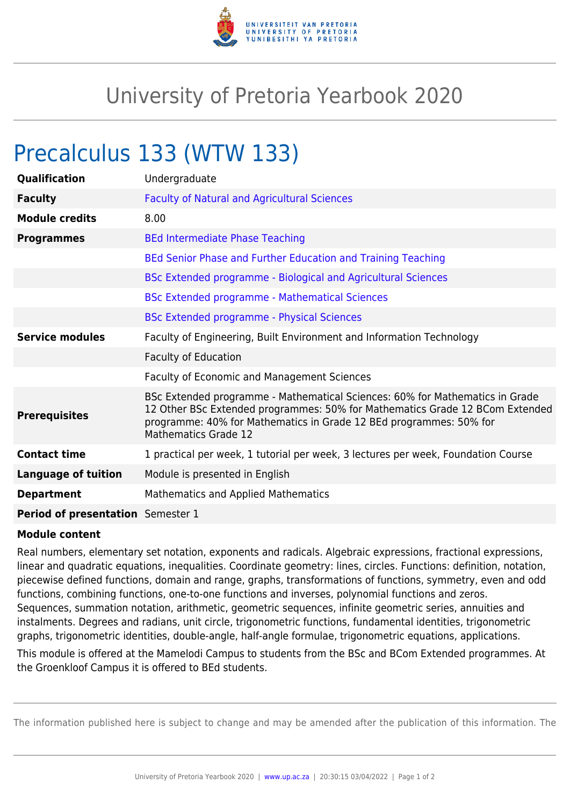

## University of Pretoria Yearbook 2020

## Precalculus 133 (WTW 133)

| Qualification                     | Undergraduate                                                                                                                                                                                                                                              |
|-----------------------------------|------------------------------------------------------------------------------------------------------------------------------------------------------------------------------------------------------------------------------------------------------------|
| <b>Faculty</b>                    | <b>Faculty of Natural and Agricultural Sciences</b>                                                                                                                                                                                                        |
| <b>Module credits</b>             | 8.00                                                                                                                                                                                                                                                       |
| <b>Programmes</b>                 | <b>BEd Intermediate Phase Teaching</b>                                                                                                                                                                                                                     |
|                                   | BEd Senior Phase and Further Education and Training Teaching                                                                                                                                                                                               |
|                                   | BSc Extended programme - Biological and Agricultural Sciences                                                                                                                                                                                              |
|                                   | <b>BSc Extended programme - Mathematical Sciences</b>                                                                                                                                                                                                      |
|                                   | <b>BSc Extended programme - Physical Sciences</b>                                                                                                                                                                                                          |
| <b>Service modules</b>            | Faculty of Engineering, Built Environment and Information Technology                                                                                                                                                                                       |
|                                   | <b>Faculty of Education</b>                                                                                                                                                                                                                                |
|                                   | Faculty of Economic and Management Sciences                                                                                                                                                                                                                |
| <b>Prerequisites</b>              | BSc Extended programme - Mathematical Sciences: 60% for Mathematics in Grade<br>12 Other BSc Extended programmes: 50% for Mathematics Grade 12 BCom Extended<br>programme: 40% for Mathematics in Grade 12 BEd programmes: 50% for<br>Mathematics Grade 12 |
| <b>Contact time</b>               | 1 practical per week, 1 tutorial per week, 3 lectures per week, Foundation Course                                                                                                                                                                          |
| <b>Language of tuition</b>        | Module is presented in English                                                                                                                                                                                                                             |
| <b>Department</b>                 | <b>Mathematics and Applied Mathematics</b>                                                                                                                                                                                                                 |
| Period of presentation Semester 1 |                                                                                                                                                                                                                                                            |

## **Module content**

Real numbers, elementary set notation, exponents and radicals. Algebraic expressions, fractional expressions, linear and quadratic equations, inequalities. Coordinate geometry: lines, circles. Functions: definition, notation, piecewise defined functions, domain and range, graphs, transformations of functions, symmetry, even and odd functions, combining functions, one-to-one functions and inverses, polynomial functions and zeros. Sequences, summation notation, arithmetic, geometric sequences, infinite geometric series, annuities and instalments. Degrees and radians, unit circle, trigonometric functions, fundamental identities, trigonometric graphs, trigonometric identities, double-angle, half-angle formulae, trigonometric equations, applications.

This module is offered at the Mamelodi Campus to students from the BSc and BCom Extended programmes. At the Groenkloof Campus it is offered to BEd students.

The information published here is subject to change and may be amended after the publication of this information. The